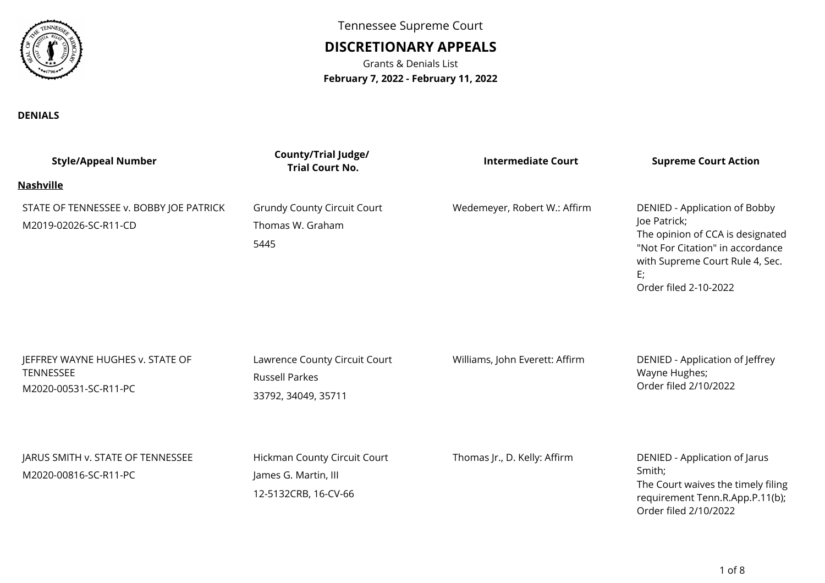

**DENIALS**

Tennessee Supreme Court

## **DISCRETIONARY APPEALS**

Grants & Denials List**February 7, 2022 - February 11, 2022**

| <b>Style/Appeal Number</b>                                                    | <b>County/Trial Judge/</b><br><b>Trial Court No.</b>                          | <b>Intermediate Court</b>      | <b>Supreme Court Action</b>                                                                                                                                                             |
|-------------------------------------------------------------------------------|-------------------------------------------------------------------------------|--------------------------------|-----------------------------------------------------------------------------------------------------------------------------------------------------------------------------------------|
| <u>Nashville</u>                                                              |                                                                               |                                |                                                                                                                                                                                         |
| STATE OF TENNESSEE v. BOBBY JOE PATRICK<br>M2019-02026-SC-R11-CD              | <b>Grundy County Circuit Court</b><br>Thomas W. Graham<br>5445                | Wedemeyer, Robert W.: Affirm   | DENIED - Application of Bobby<br>Joe Patrick;<br>The opinion of CCA is designated<br>"Not For Citation" in accordance<br>with Supreme Court Rule 4, Sec.<br>E;<br>Order filed 2-10-2022 |
| JEFFREY WAYNE HUGHES v. STATE OF<br><b>TENNESSEE</b><br>M2020-00531-SC-R11-PC | Lawrence County Circuit Court<br><b>Russell Parkes</b><br>33792, 34049, 35711 | Williams, John Everett: Affirm | DENIED - Application of Jeffrey<br>Wayne Hughes;<br>Order filed 2/10/2022                                                                                                               |
| JARUS SMITH v. STATE OF TENNESSEE<br>M2020-00816-SC-R11-PC                    | Hickman County Circuit Court<br>James G. Martin, III<br>12-5132CRB, 16-CV-66  | Thomas Jr., D. Kelly: Affirm   | DENIED - Application of Jarus<br>Smith;<br>The Court waives the timely filing<br>requirement Tenn.R.App.P.11(b);<br>Order filed 2/10/2022                                               |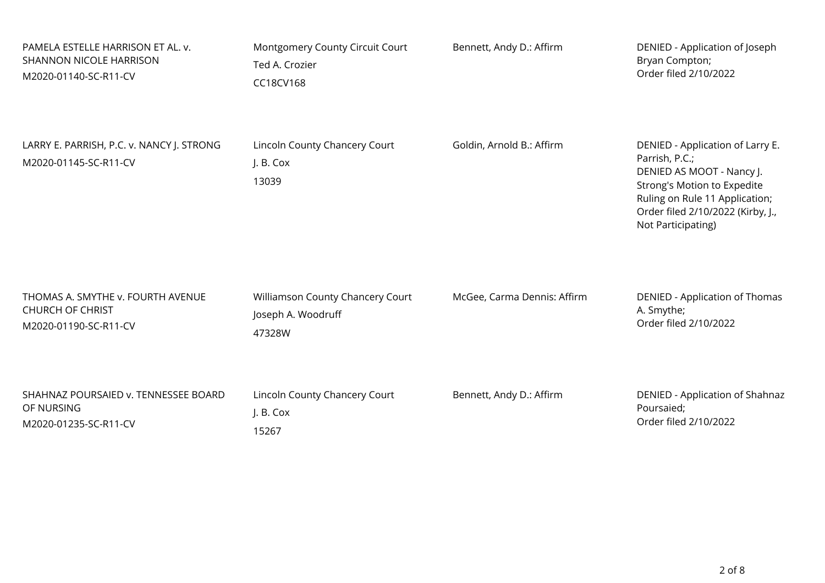| PAMELA ESTELLE HARRISON ET AL. v.                                  | Montgomery County Circuit Court                     | Bennett, Andy D.: Affirm    | DENIED - Application of Joseph                                                                                                                                                                              |
|--------------------------------------------------------------------|-----------------------------------------------------|-----------------------------|-------------------------------------------------------------------------------------------------------------------------------------------------------------------------------------------------------------|
| SHANNON NICOLE HARRISON                                            | Ted A. Crozier                                      |                             | Bryan Compton;                                                                                                                                                                                              |
| M2020-01140-SC-R11-CV                                              | CC18CV168                                           |                             | Order filed 2/10/2022                                                                                                                                                                                       |
| LARRY E. PARRISH, P.C. v. NANCY J. STRONG<br>M2020-01145-SC-R11-CV | Lincoln County Chancery Court<br>J. B. Cox<br>13039 | Goldin, Arnold B.: Affirm   | DENIED - Application of Larry E.<br>Parrish, P.C.;<br>DENIED AS MOOT - Nancy J.<br>Strong's Motion to Expedite<br>Ruling on Rule 11 Application;<br>Order filed 2/10/2022 (Kirby, J.,<br>Not Participating) |
| THOMAS A. SMYTHE v. FOURTH AVENUE                                  | Williamson County Chancery Court                    | McGee, Carma Dennis: Affirm | DENIED - Application of Thomas                                                                                                                                                                              |
| <b>CHURCH OF CHRIST</b>                                            | Joseph A. Woodruff                                  |                             | A. Smythe;                                                                                                                                                                                                  |
| M2020-01190-SC-R11-CV                                              | 47328W                                              |                             | Order filed 2/10/2022                                                                                                                                                                                       |
| SHAHNAZ POURSAIED v. TENNESSEE BOARD                               | Lincoln County Chancery Court                       | Bennett, Andy D.: Affirm    | DENIED - Application of Shahnaz                                                                                                                                                                             |
| OF NURSING                                                         | J. B. Cox                                           |                             | Poursaied;                                                                                                                                                                                                  |
| M2020-01235-SC-R11-CV                                              | 15267                                               |                             | Order filed 2/10/2022                                                                                                                                                                                       |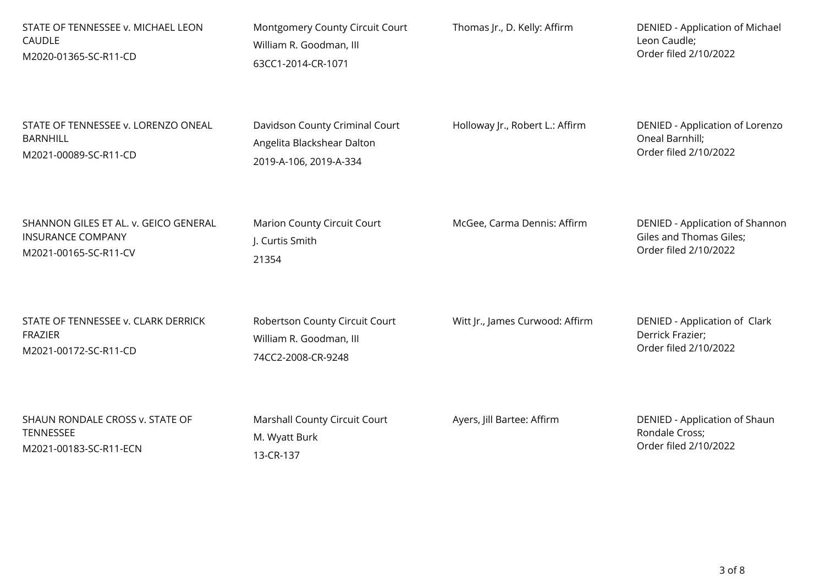| STATE OF TENNESSEE v. MICHAEL LEON    | Montgomery County Circuit Court    | Thomas Jr., D. Kelly: Affirm    | <b>DENIED - Application of Michael</b> |
|---------------------------------------|------------------------------------|---------------------------------|----------------------------------------|
| CAUDLE                                | William R. Goodman, III            |                                 | Leon Caudle;                           |
| M2020-01365-SC-R11-CD                 | 63CC1-2014-CR-1071                 |                                 | Order filed 2/10/2022                  |
| STATE OF TENNESSEE v. LORENZO ONEAL   | Davidson County Criminal Court     | Holloway Jr., Robert L.: Affirm | DENIED - Application of Lorenzo        |
| <b>BARNHILL</b>                       | Angelita Blackshear Dalton         |                                 | Oneal Barnhill;                        |
| M2021-00089-SC-R11-CD                 | 2019-A-106, 2019-A-334             |                                 | Order filed 2/10/2022                  |
| SHANNON GILES ET AL. v. GEICO GENERAL | <b>Marion County Circuit Court</b> | McGee, Carma Dennis: Affirm     | DENIED - Application of Shannon        |
| <b>INSURANCE COMPANY</b>              | J. Curtis Smith                    |                                 | Giles and Thomas Giles;                |
| M2021-00165-SC-R11-CV                 | 21354                              |                                 | Order filed 2/10/2022                  |
| STATE OF TENNESSEE v. CLARK DERRICK   | Robertson County Circuit Court     | Witt Jr., James Curwood: Affirm | DENIED - Application of Clark          |
| <b>FRAZIER</b>                        | William R. Goodman, III            |                                 | Derrick Frazier;                       |
| M2021-00172-SC-R11-CD                 | 74CC2-2008-CR-9248                 |                                 | Order filed 2/10/2022                  |
| SHAUN RONDALE CROSS v. STATE OF       | Marshall County Circuit Court      | Ayers, Jill Bartee: Affirm      | DENIED - Application of Shaun          |
| TENNESSEE                             | M. Wyatt Burk                      |                                 | Rondale Cross;                         |
| M2021-00183-SC-R11-ECN                | 13-CR-137                          |                                 | Order filed 2/10/2022                  |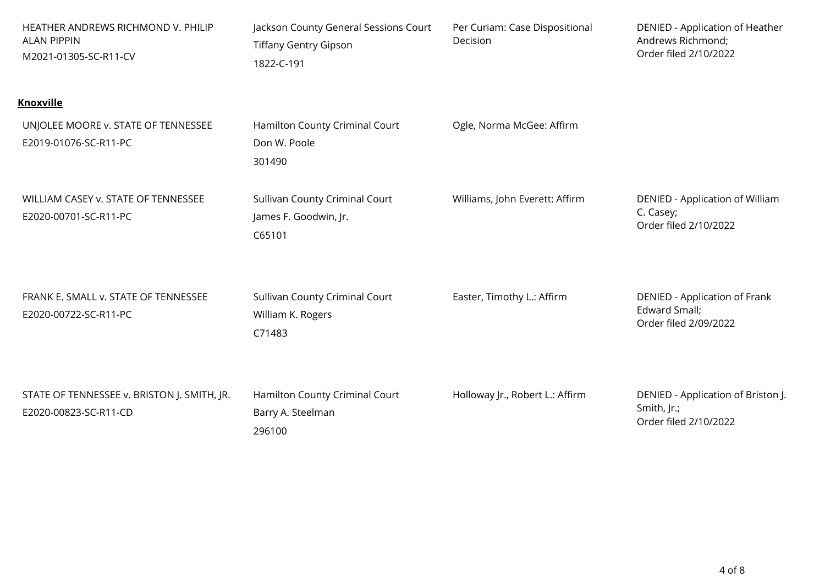| HEATHER ANDREWS RICHMOND V. PHILIP<br><b>ALAN PIPPIN</b><br>M2021-01305-SC-R11-CV | Jackson County General Sessions Court<br><b>Tiffany Gentry Gipson</b><br>1822-C-191 | Per Curiam: Case Dispositional<br>Decision | DENIED - Application of Heather<br>Andrews Richmond;<br>Order filed 2/10/2022 |
|-----------------------------------------------------------------------------------|-------------------------------------------------------------------------------------|--------------------------------------------|-------------------------------------------------------------------------------|
| <b>Knoxville</b>                                                                  |                                                                                     |                                            |                                                                               |
| UNJOLEE MOORE v. STATE OF TENNESSEE<br>E2019-01076-SC-R11-PC                      | Hamilton County Criminal Court<br>Don W. Poole<br>301490                            | Ogle, Norma McGee: Affirm                  |                                                                               |
| WILLIAM CASEY v. STATE OF TENNESSEE<br>E2020-00701-SC-R11-PC                      | Sullivan County Criminal Court<br>James F. Goodwin, Jr.<br>C65101                   | Williams, John Everett: Affirm             | DENIED - Application of William<br>C. Casey;<br>Order filed 2/10/2022         |
| FRANK E. SMALL v. STATE OF TENNESSEE<br>E2020-00722-SC-R11-PC                     | Sullivan County Criminal Court<br>William K. Rogers<br>C71483                       | Easter, Timothy L.: Affirm                 | DENIED - Application of Frank<br>Edward Small;<br>Order filed 2/09/2022       |
| STATE OF TENNESSEE v. BRISTON J. SMITH, JR.<br>E2020-00823-SC-R11-CD              | Hamilton County Criminal Court<br>Barry A. Steelman<br>296100                       | Holloway Jr., Robert L.: Affirm            | DENIED - Application of Briston J.<br>Smith, Jr.;<br>Order filed 2/10/2022    |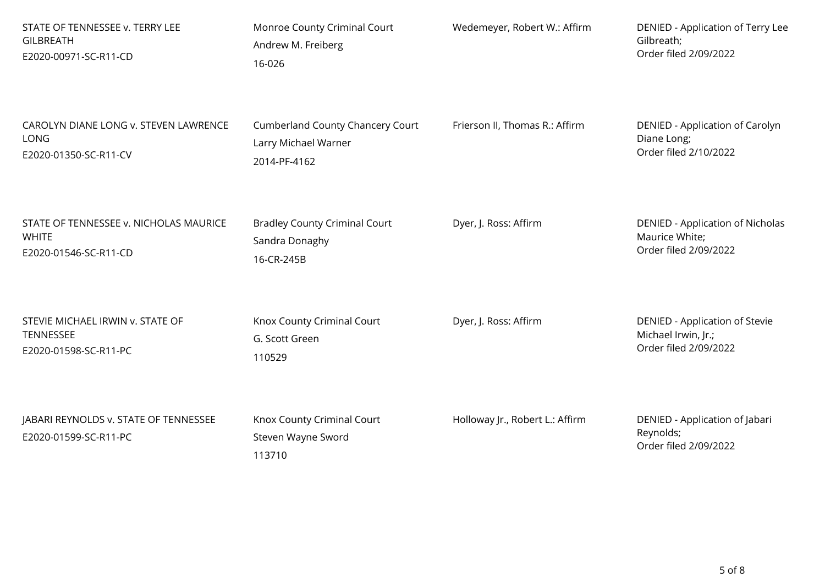| STATE OF TENNESSEE v. TERRY LEE                                | Monroe County Criminal Court                               | Wedemeyer, Robert W.: Affirm    | DENIED - Application of Terry Lee                                    |
|----------------------------------------------------------------|------------------------------------------------------------|---------------------------------|----------------------------------------------------------------------|
| <b>GILBREATH</b>                                               | Andrew M. Freiberg                                         |                                 | Gilbreath;                                                           |
| E2020-00971-SC-R11-CD                                          | 16-026                                                     |                                 | Order filed 2/09/2022                                                |
| CAROLYN DIANE LONG v. STEVEN LAWRENCE                          | <b>Cumberland County Chancery Court</b>                    | Frierson II, Thomas R.: Affirm  | DENIED - Application of Carolyn                                      |
| LONG                                                           | Larry Michael Warner                                       |                                 | Diane Long;                                                          |
| E2020-01350-SC-R11-CV                                          | 2014-PF-4162                                               |                                 | Order filed 2/10/2022                                                |
| STATE OF TENNESSEE v. NICHOLAS MAURICE                         | <b>Bradley County Criminal Court</b>                       | Dyer, J. Ross: Affirm           | <b>DENIED - Application of Nicholas</b>                              |
| <b>WHITE</b>                                                   | Sandra Donaghy                                             |                                 | Maurice White;                                                       |
| E2020-01546-SC-R11-CD                                          | 16-CR-245B                                                 |                                 | Order filed 2/09/2022                                                |
| STEVIE MICHAEL IRWIN v. STATE OF                               | Knox County Criminal Court                                 | Dyer, J. Ross: Affirm           | DENIED - Application of Stevie                                       |
| TENNESSEE                                                      | G. Scott Green                                             |                                 | Michael Irwin, Jr.;                                                  |
| E2020-01598-SC-R11-PC                                          | 110529                                                     |                                 | Order filed 2/09/2022                                                |
| JABARI REYNOLDS v. STATE OF TENNESSEE<br>E2020-01599-SC-R11-PC | Knox County Criminal Court<br>Steven Wayne Sword<br>113710 | Holloway Jr., Robert L.: Affirm | DENIED - Application of Jabari<br>Reynolds;<br>Order filed 2/09/2022 |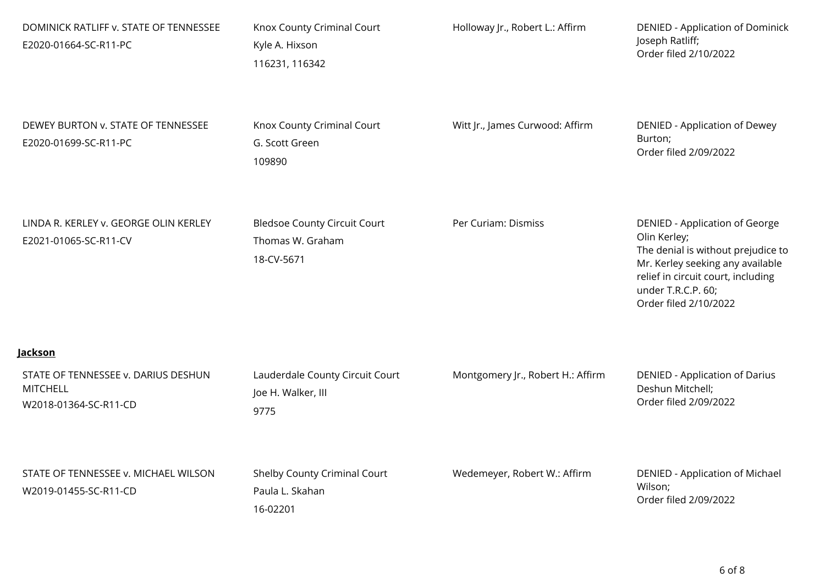| DOMINICK RATLIFF v. STATE OF TENNESSEE<br>E2020-01664-SC-R11-PC                 | Knox County Criminal Court<br>Kyle A. Hixson<br>116231, 116342        | Holloway Jr., Robert L.: Affirm   | <b>DENIED - Application of Dominick</b><br>Joseph Ratliff;<br>Order filed 2/10/2022                                                                                                                           |
|---------------------------------------------------------------------------------|-----------------------------------------------------------------------|-----------------------------------|---------------------------------------------------------------------------------------------------------------------------------------------------------------------------------------------------------------|
| DEWEY BURTON v. STATE OF TENNESSEE<br>E2020-01699-SC-R11-PC                     | Knox County Criminal Court<br>G. Scott Green<br>109890                | Witt Jr., James Curwood: Affirm   | DENIED - Application of Dewey<br>Burton;<br>Order filed 2/09/2022                                                                                                                                             |
| LINDA R. KERLEY v. GEORGE OLIN KERLEY<br>E2021-01065-SC-R11-CV                  | <b>Bledsoe County Circuit Court</b><br>Thomas W. Graham<br>18-CV-5671 | Per Curiam: Dismiss               | DENIED - Application of George<br>Olin Kerley;<br>The denial is without prejudice to<br>Mr. Kerley seeking any available<br>relief in circuit court, including<br>under T.R.C.P. 60;<br>Order filed 2/10/2022 |
| <u>Jackson</u>                                                                  |                                                                       |                                   |                                                                                                                                                                                                               |
| STATE OF TENNESSEE v. DARIUS DESHUN<br><b>MITCHELL</b><br>W2018-01364-SC-R11-CD | Lauderdale County Circuit Court<br>Joe H. Walker, III<br>9775         | Montgomery Jr., Robert H.: Affirm | <b>DENIED - Application of Darius</b><br>Deshun Mitchell;<br>Order filed 2/09/2022                                                                                                                            |
| STATE OF TENNESSEE v. MICHAEL WILSON<br>W2019-01455-SC-R11-CD                   | Shelby County Criminal Court<br>Paula L. Skahan<br>16-02201           | Wedemeyer, Robert W.: Affirm      | DENIED - Application of Michael<br>Wilson;<br>Order filed 2/09/2022                                                                                                                                           |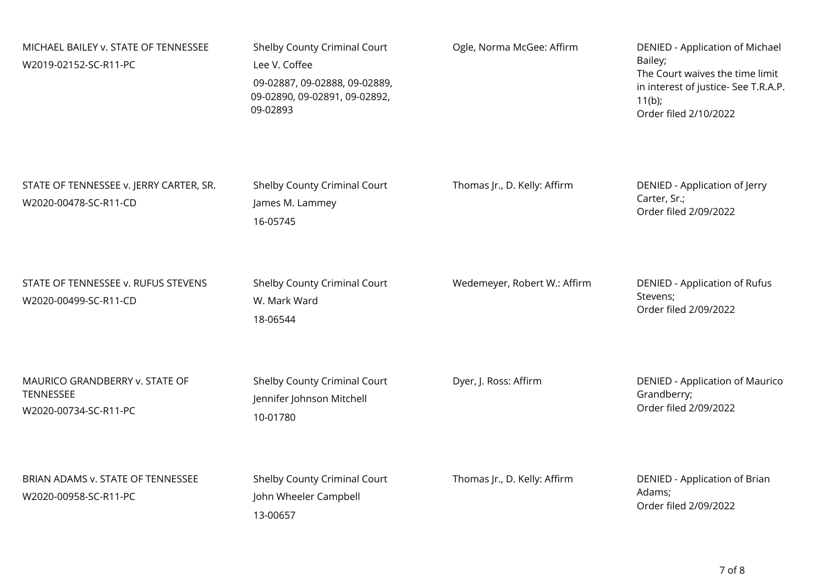| MICHAEL BAILEY v. STATE OF TENNESSEE<br>W2019-02152-SC-R11-PC        | Shelby County Criminal Court<br>Lee V. Coffee<br>09-02887, 09-02888, 09-02889,<br>09-02890, 09-02891, 09-02892,<br>09-02893 | Ogle, Norma McGee: Affirm    | DENIED - Application of Michael<br>Bailey;<br>The Court waives the time limit<br>in interest of justice- See T.R.A.P.<br>$11(b)$ ;<br>Order filed 2/10/2022 |
|----------------------------------------------------------------------|-----------------------------------------------------------------------------------------------------------------------------|------------------------------|-------------------------------------------------------------------------------------------------------------------------------------------------------------|
| STATE OF TENNESSEE v. JERRY CARTER, SR.<br>W2020-00478-SC-R11-CD     | Shelby County Criminal Court<br>James M. Lammey<br>16-05745                                                                 | Thomas Jr., D. Kelly: Affirm | DENIED - Application of Jerry<br>Carter, Sr.;<br>Order filed 2/09/2022                                                                                      |
| STATE OF TENNESSEE v. RUFUS STEVENS<br>W2020-00499-SC-R11-CD         | Shelby County Criminal Court<br>W. Mark Ward<br>18-06544                                                                    | Wedemeyer, Robert W.: Affirm | DENIED - Application of Rufus<br>Stevens;<br>Order filed 2/09/2022                                                                                          |
| MAURICO GRANDBERRY v. STATE OF<br>TENNESSEE<br>W2020-00734-SC-R11-PC | Shelby County Criminal Court<br>Jennifer Johnson Mitchell<br>10-01780                                                       | Dyer, J. Ross: Affirm        | <b>DENIED - Application of Maurico</b><br>Grandberry;<br>Order filed 2/09/2022                                                                              |
| BRIAN ADAMS v. STATE OF TENNESSEE<br>W2020-00958-SC-R11-PC           | Shelby County Criminal Court<br>John Wheeler Campbell<br>13-00657                                                           | Thomas Jr., D. Kelly: Affirm | DENIED - Application of Brian<br>Adams;<br>Order filed 2/09/2022                                                                                            |